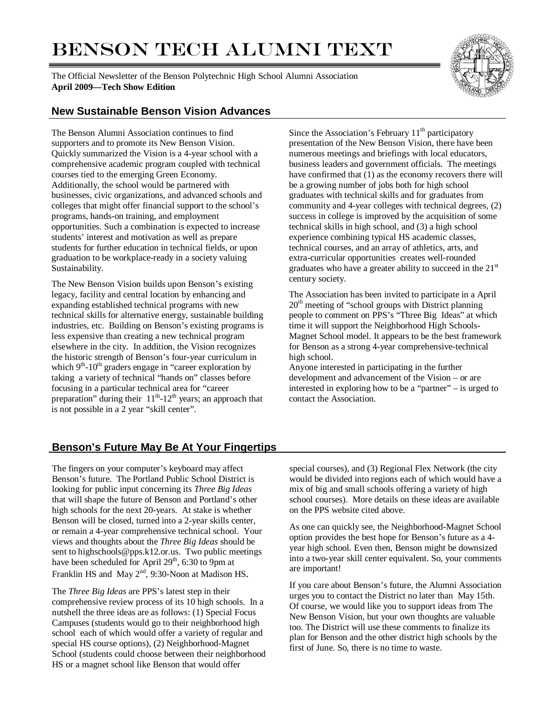# BENSON TECH ALUMNI TEXT

The Official Newsletter of the Benson Polytechnic High School Alumni Association **April 2009—Tech Show Edition**



### **New Sustainable Benson Vision Advances**

The Benson Alumni Association continues to find supporters and to promote its New Benson Vision. Quickly summarized the Vision is a 4-year school with a comprehensive academic program coupled with technical courses tied to the emerging Green Economy. Additionally, the school would be partnered with businesses, civic organizations, and advanced schools and colleges that might offer financial support to the school's programs, hands-on training, and employment opportunities. Such a combination is expected to increase students' interest and motivation as well as prepare students for further education in technical fields, or upon graduation to be workplace-ready in a society valuing Sustainability.

The New Benson Vision builds upon Benson's existing legacy, facility and central location by enhancing and expanding established technical programs with new technical skills for alternative energy, sustainable building industries, etc. Building on Benson's existing programs is less expensive than creating a new technical program elsewhere in the city. In addition, the Vision recognizes the historic strength of Benson's four-year curriculum in which  $9<sup>th</sup>$ -10<sup>th</sup> graders engage in "career exploration by taking a variety of technical "hands on" classes before focusing in a particular technical area for "career preparation" during their  $11<sup>th</sup>-12<sup>th</sup>$  years; an approach that is not possible in a 2 year "skill center".

Since the Association's February  $11<sup>th</sup>$  participatory presentation of the New Benson Vision, there have been numerous meetings and briefings with local educators, business leaders and government officials. The meetings have confirmed that (1) as the economy recovers there will be a growing number of jobs both for high school graduates with technical skills and for graduates from community and 4-year colleges with technical degrees, (2) success in college is improved by the acquisition of some technical skills in high school, and (3) a high school experience combining typical HS academic classes, technical courses, and an array of athletics, arts, and extra-curricular opportunities creates well-rounded graduates who have a greater ability to succeed in the 21<sup>st</sup> century society.

The Association has been invited to participate in a April  $20<sup>th</sup>$  meeting of "school groups with District planning" people to comment on PPS's "Three Big Ideas" at which time it will support the Neighborhood High Schools-Magnet School model. It appears to be the best framework for Benson as a strong 4-year comprehensive-technical high school.

Anyone interested in participating in the further development and advancement of the Vision – or are interested in exploring how to be a "partner" – is urged to contact the Association.

## **Benson's Future May Be At Your Fingertips**

The fingers on your computer's keyboard may affect Benson's future. The Portland Public School District is looking for public input concerning its *Three Big Ideas* that will shape the future of Benson and Portland's other high schools for the next 20-years. At stake is whether Benson will be closed, turned into a 2-year skills center, or remain a 4-year comprehensive technical school. Your views and thoughts about the *Three Big Ideas* should be sent to highschools@pps.k12.or.us. Two public meetings have been scheduled for April 29<sup>th</sup>, 6:30 to 9pm at Franklin HS and May 2<sup>nd</sup>, 9:30-Noon at Madison HS.

The *Three Big Ideas* are PPS's latest step in their comprehensive review process of its 10 high schools. In a nutshell the three ideas are as follows: (1) Special Focus Campuses (students would go to their neighborhood high school each of which would offer a variety of regular and special HS course options), (2) Neighborhood-Magnet School (students could choose between their neighborhood HS or a magnet school like Benson that would offer

special courses), and (3) Regional Flex Network (the city would be divided into regions each of which would have a mix of big and small schools offering a variety of high school courses). More details on these ideas are available on the PPS website cited above.

As one can quickly see, the Neighborhood-Magnet School option provides the best hope for Benson's future as a 4 year high school. Even then, Benson might be downsized into a two-year skill center equivalent. So, your comments are important!

If you care about Benson's future, the Alumni Association urges you to contact the District no later than May 15th. Of course, we would like you to support ideas from The New Benson Vision, but your own thoughts are valuable too. The District will use these comments to finalize its plan for Benson and the other district high schools by the first of June. So, there is no time to waste.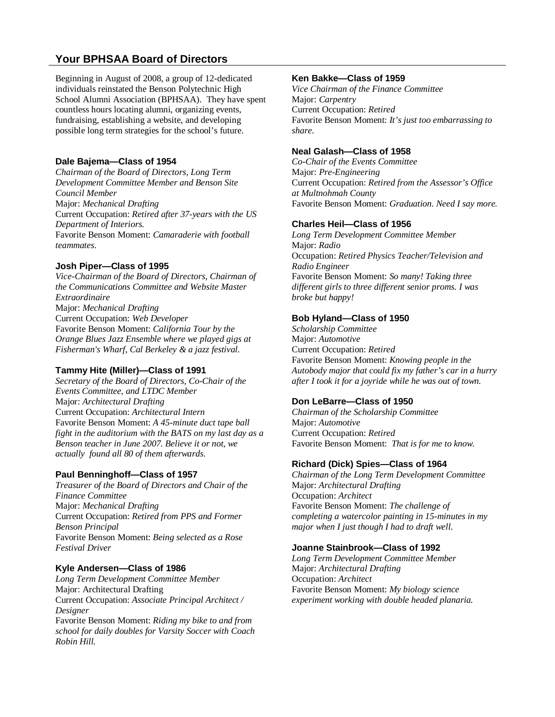## **Your BPHSAA Board of Directors**

Beginning in August of 2008, a group of 12-dedicated individuals reinstated the Benson Polytechnic High School Alumni Association (BPHSAA). They have spent countless hours locating alumni, organizing events, fundraising, establishing a website, and developing possible long term strategies for the school's future.

#### **Dale Bajema—Class of 1954**

*Chairman of the Board of Directors, Long Term Development Committee Member and Benson Site Council Member*  Major: *Mechanical Drafting*  Current Occupation: *Retired after 37-years with the US Department of Interiors.*  Favorite Benson Moment: *Camaraderie with football teammates.* 

#### **Josh Piper—Class of 1995**

*Vice-Chairman of the Board of Directors, Chairman of the Communications Committee and Website Master Extraordinaire*  Major: *Mechanical Drafting*  Current Occupation: *Web Developer*  Favorite Benson Moment: *California Tour by the Orange Blues Jazz Ensemble where we played gigs at Fisherman's Wharf, Cal Berkeley & a jazz festival.* 

#### **Tammy Hite (Miller)—Class of 1991**

*Secretary of the Board of Directors, Co-Chair of the Events Committee, and LTDC Member*  Major: *Architectural Drafting*  Current Occupation: *Architectural Intern* Favorite Benson Moment: *A 45-minute duct tape ball fight in the auditorium with the BATS on my last day as a Benson teacher in June 2007. Believe it or not, we actually found all 80 of them afterwards.* 

#### **Paul Benninghoff—Class of 1957**

*Treasurer of the Board of Directors and Chair of the Finance Committee*  Major: *Mechanical Drafting*  Current Occupation: *Retired from PPS and Former Benson Principal* Favorite Benson Moment: *Being selected as a Rose Festival Driver* 

#### **Kyle Andersen—Class of 1986**

*Long Term Development Committee Member*  Major: Architectural Drafting Current Occupation: *Associate Principal Architect / Designer* 

Favorite Benson Moment: *Riding my bike to and from school for daily doubles for Varsity Soccer with Coach Robin Hill.* 

#### **Ken Bakke—Class of 1959**

*Vice Chairman of the Finance Committee*  Major: *Carpentry*  Current Occupation: *Retired*  Favorite Benson Moment: *It's just too embarrassing to share.* 

#### **Neal Galash—Class of 1958**

*Co-Chair of the Events Committee*  Major: *Pre-Engineering* Current Occupation: *Retired from the Assessor's Office at Multnohmah County* Favorite Benson Moment: *Graduation. Need I say more.* 

#### **Charles Heil—Class of 1956**

*Long Term Development Committee Member*  Major: *Radio*  Occupation: *Retired Physics Teacher/Television and Radio Engineer*  Favorite Benson Moment: *So many! Taking three different girls to three different senior proms. I was broke but happy!* 

#### **Bob Hyland—Class of 1950**

*Scholarship Committee*  Major: *Automotive*  Current Occupation: *Retired*  Favorite Benson Moment: *Knowing people in the Autobody major that could fix my father's car in a hurry after I took it for a joyride while he was out of town.* 

#### **Don LeBarre—Class of 1950**

*Chairman of the Scholarship Committee*  Major: *Automotive*  Current Occupation: *Retired*  Favorite Benson Moment: *That is for me to know.* 

#### **Richard (Dick) Spies—Class of 1964**

*Chairman of the Long Term Development Committee*  Major: *Architectural Drafting*  Occupation: *Architect*  Favorite Benson Moment: *The challenge of completing a watercolor painting in 15-minutes in my major when I just though I had to draft well.* 

#### **Joanne Stainbrook—Class of 1992**

*Long Term Development Committee Member*  Major: *Architectural Drafting*  Occupation: *Architect*  Favorite Benson Moment: *My biology science experiment working with double headed planaria.*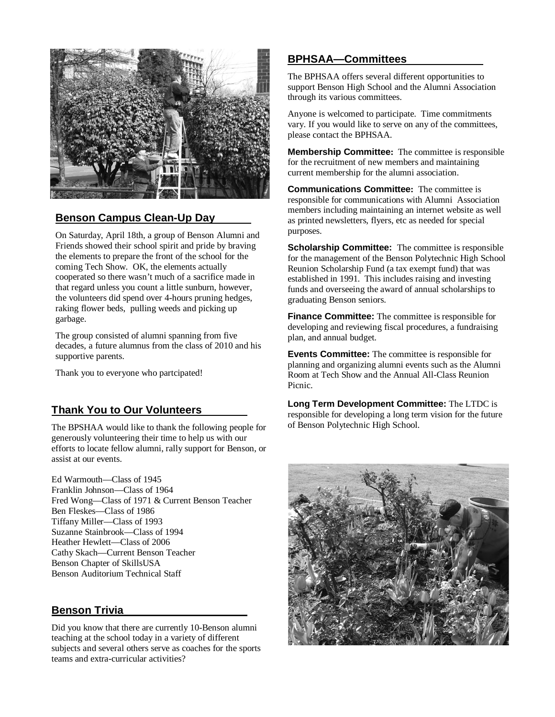

# **Benson Campus Clean-Up Day**

On Saturday, April 18th, a group of Benson Alumni and Friends showed their school spirit and pride by braving the elements to prepare the front of the school for the coming Tech Show. OK, the elements actually cooperated so there wasn't much of a sacrifice made in that regard unless you count a little sunburn, however, the volunteers did spend over 4-hours pruning hedges, raking flower beds, pulling weeds and picking up garbage.

The group consisted of alumni spanning from five decades, a future alumnus from the class of 2010 and his supportive parents.

Thank you to everyone who partcipated!

## **Thank You to Our Volunteers**

The BPSHAA would like to thank the following people for generously volunteering their time to help us with our efforts to locate fellow alumni, rally support for Benson, or assist at our events.

Ed Warmouth—Class of 1945 Franklin Johnson—Class of 1964 Fred Wong—Class of 1971 & Current Benson Teacher Ben Fleskes—Class of 1986 Tiffany Miller—Class of 1993 Suzanne Stainbrook—Class of 1994 Heather Hewlett—Class of 2006 Cathy Skach—Current Benson Teacher Benson Chapter of SkillsUSA Benson Auditorium Technical Staff

## **Benson Trivia**

Did you know that there are currently 10-Benson alumni teaching at the school today in a variety of different subjects and several others serve as coaches for the sports teams and extra-curricular activities?

# **BPHSAA—Committees**

The BPHSAA offers several different opportunities to support Benson High School and the Alumni Association through its various committees.

Anyone is welcomed to participate. Time commitments vary. If you would like to serve on any of the committees, please contact the BPHSAA.

**Membership Committee:** The committee is responsible for the recruitment of new members and maintaining current membership for the alumni association.

**Communications Committee:** The committee is responsible for communications with Alumni Association members including maintaining an internet website as well as printed newsletters, flyers, etc as needed for special purposes.

**Scholarship Committee:** The committee is responsible for the management of the Benson Polytechnic High School Reunion Scholarship Fund (a tax exempt fund) that was established in 1991. This includes raising and investing funds and overseeing the award of annual scholarships to graduating Benson seniors.

**Finance Committee:** The committee is responsible for developing and reviewing fiscal procedures, a fundraising plan, and annual budget.

**Events Committee:** The committee is responsible for planning and organizing alumni events such as the Alumni Room at Tech Show and the Annual All-Class Reunion Picnic.

**Long Term Development Committee:** The LTDC is responsible for developing a long term vision for the future of Benson Polytechnic High School.